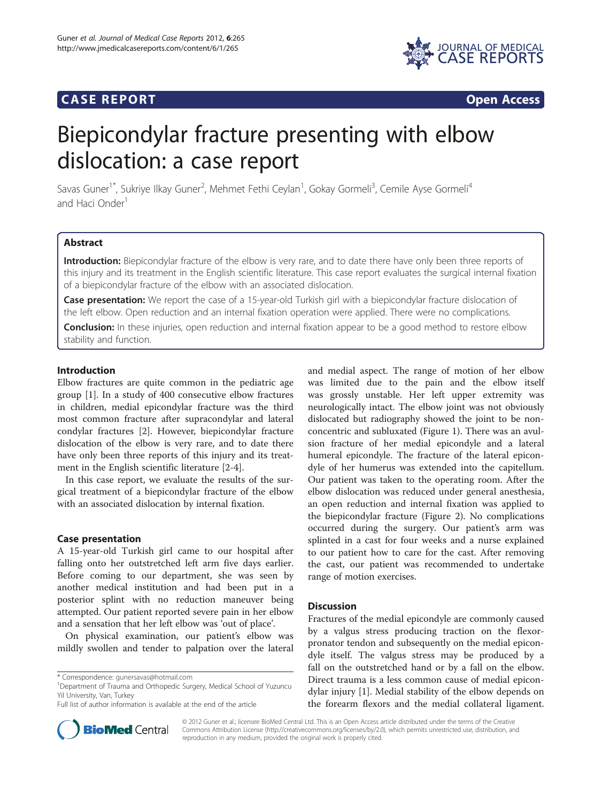# **CASE REPORT CASE REPORT**



# Biepicondylar fracture presenting with elbow dislocation: a case report

Savas Guner<sup>1\*</sup>, Sukriye Ilkay Guner<sup>2</sup>, Mehmet Fethi Ceylan<sup>1</sup>, Gokay Gormeli<sup>3</sup>, Cemile Ayse Gormeli<sup>4</sup> and Haci Onder<sup>1</sup>

# Abstract

Introduction: Biepicondylar fracture of the elbow is very rare, and to date there have only been three reports of this injury and its treatment in the English scientific literature. This case report evaluates the surgical internal fixation of a biepicondylar fracture of the elbow with an associated dislocation.

Case presentation: We report the case of a 15-year-old Turkish girl with a biepicondylar fracture dislocation of the left elbow. Open reduction and an internal fixation operation were applied. There were no complications.

**Conclusion:** In these injuries, open reduction and internal fixation appear to be a good method to restore elbow stability and function.

# Introduction

Elbow fractures are quite common in the pediatric age group [\[1](#page-1-0)]. In a study of 400 consecutive elbow fractures in children, medial epicondylar fracture was the third most common fracture after supracondylar and lateral condylar fractures [[2](#page-1-0)]. However, biepicondylar fracture dislocation of the elbow is very rare, and to date there have only been three reports of this injury and its treatment in the English scientific literature [[2-4](#page-1-0)].

In this case report, we evaluate the results of the surgical treatment of a biepicondylar fracture of the elbow with an associated dislocation by internal fixation.

## Case presentation

A 15-year-old Turkish girl came to our hospital after falling onto her outstretched left arm five days earlier. Before coming to our department, she was seen by another medical institution and had been put in a posterior splint with no reduction maneuver being attempted. Our patient reported severe pain in her elbow and a sensation that her left elbow was 'out of place'.

On physical examination, our patient's elbow was mildly swollen and tender to palpation over the lateral



# **Discussion**

Fractures of the medial epicondyle are commonly caused by a valgus stress producing traction on the flexorpronator tendon and subsequently on the medial epicondyle itself. The valgus stress may be produced by a fall on the outstretched hand or by a fall on the elbow. Direct trauma is a less common cause of medial epicondylar injury [\[1\]](#page-1-0). Medial stability of the elbow depends on the forearm flexors and the medial collateral ligament.



© 2012 Guner et al.; licensee BioMed Central Ltd. This is an Open Access article distributed under the terms of the Creative Commons Attribution License [\(http://creativecommons.org/licenses/by/2.0\)](http://creativecommons.org/licenses/by/2.0), which permits unrestricted use, distribution, and reproduction in any medium, provided the original work is properly cited.

<sup>\*</sup> Correspondence: [gunersavas@hotmail.com](mailto:gunersavas@hotmail.com) <sup>1</sup>

<sup>&</sup>lt;sup>1</sup>Department of Trauma and Orthopedic Surgery, Medical School of Yuzuncu Yil University, Van, Turkey

Full list of author information is available at the end of the article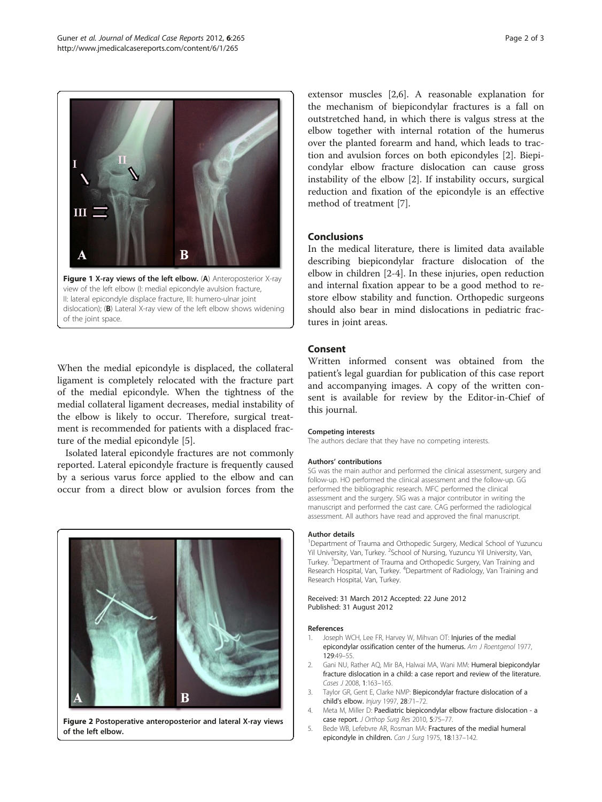<span id="page-1-0"></span>

II: lateral epicondyle displace fracture, III: humero-ulnar joint dislocation); (B) Lateral X-ray view of the left elbow shows widening of the joint space.

When the medial epicondyle is displaced, the collateral ligament is completely relocated with the fracture part of the medial epicondyle. When the tightness of the medial collateral ligament decreases, medial instability of the elbow is likely to occur. Therefore, surgical treatment is recommended for patients with a displaced fracture of the medial epicondyle [5].

Isolated lateral epicondyle fractures are not commonly reported. Lateral epicondyle fracture is frequently caused by a serious varus force applied to the elbow and can occur from a direct blow or avulsion forces from the



Figure 2 Postoperative anteroposterior and lateral X-ray views of the left elbow.

extensor muscles [2[,6](#page-2-0)]. A reasonable explanation for the mechanism of biepicondylar fractures is a fall on outstretched hand, in which there is valgus stress at the elbow together with internal rotation of the humerus over the planted forearm and hand, which leads to traction and avulsion forces on both epicondyles [2]. Biepicondylar elbow fracture dislocation can cause gross instability of the elbow [2]. If instability occurs, surgical reduction and fixation of the epicondyle is an effective method of treatment [\[7\]](#page-2-0).

## Conclusions

In the medical literature, there is limited data available describing biepicondylar fracture dislocation of the elbow in children [2-4]. In these injuries, open reduction and internal fixation appear to be a good method to restore elbow stability and function. Orthopedic surgeons should also bear in mind dislocations in pediatric fractures in joint areas.

# Consent

Written informed consent was obtained from the patient's legal guardian for publication of this case report and accompanying images. A copy of the written consent is available for review by the Editor-in-Chief of this journal.

#### Competing interests

The authors declare that they have no competing interests.

#### Authors' contributions

SG was the main author and performed the clinical assessment, surgery and follow-up. HO performed the clinical assessment and the follow-up. GG performed the bibliographic research. MFC performed the clinical assessment and the surgery. SIG was a major contributor in writing the manuscript and performed the cast care. CAG performed the radiological assessment. All authors have read and approved the final manuscript.

#### Author details

<sup>1</sup>Department of Trauma and Orthopedic Surgery, Medical School of Yuzuncu Yil University, Van, Turkey. <sup>2</sup>School of Nursing, Yuzuncu Yil University, Van Turkey. <sup>3</sup>Department of Trauma and Orthopedic Surgery, Van Training and<br>Research Hospital, Van, Turkey. <sup>4</sup>Department of Radiology, Van Training and Research Hospital, Van, Turkey.

#### Received: 31 March 2012 Accepted: 22 June 2012 Published: 31 August 2012

#### References

- 1. Joseph WCH, Lee FR, Harvey W, Mihvan OT: Injuries of the medial epicondylar ossification center of the humerus. Am J Roentgenol 1977, 129:49–55.
- 2. Gani NU, Rather AQ, Mir BA, Halwai MA, Wani MM: Humeral biepicondylar fracture dislocation in a child: a case report and review of the literature. Cases J 2008, 1:163–165.
- 3. Taylor GR, Gent E, Clarke NMP: Biepicondylar fracture dislocation of a child's elbow. Injury 1997, 28:71–72.
- 4. Meta M, Miller D: Paediatric biepicondylar elbow fracture dislocation a case report. J Orthop Surg Res 2010, 5:75–77.
- 5. Bede WB, Lefebvre AR, Rosman MA: Fractures of the medial humeral epicondyle in children. Can J Surg 1975, 18:137–142.